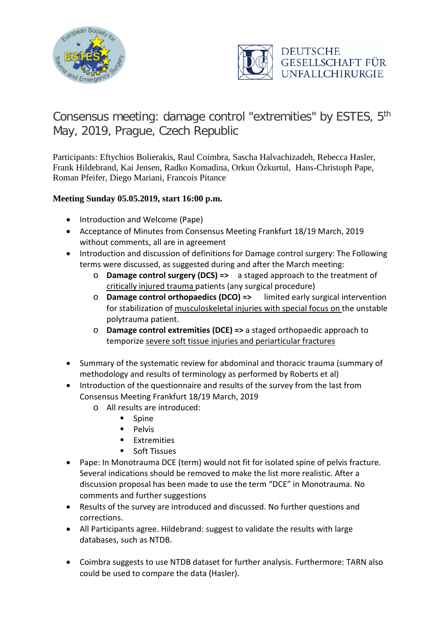



## Consensus meeting: damage control "extremities" by ESTES, 5th May, 2019, Prague, Czech Republic

Participants: Eftychios Bolierakis, Raul Coimbra, Sascha Halvachizadeh, Rebecca Hasler, Frank Hildebrand, Kai Jensen, Radko Komadina, Orkun Özkurtul, Hans-Christoph Pape, Roman Pfeifer, Diego Mariani, Francois Pitance

## **Meeting Sunday 05.05.2019, start 16:00 p.m.**

- Introduction and Welcome (Pape)
- Acceptance of Minutes from Consensus Meeting Frankfurt 18/19 March, 2019 without comments, all are in agreement
- Introduction and discussion of definitions for Damage control surgery: The Following terms were discussed, as suggested during and after the March meeting:
	- o **Damage control surgery (DCS) =>** a staged approach to the treatment of critically injured trauma patients (any surgical procedure)
	- o **Damage control orthopaedics (DCO) =>** limited early surgical intervention for stabilization of musculoskeletal injuries with special focus on the unstable polytrauma patient.
	- o **Damage control extremities (DCE) =>** a staged orthopaedic approach to temporize severe soft tissue injuries and periarticular fractures
- Summary of the systematic review for abdominal and thoracic trauma (summary of methodology and results of terminology as performed by Roberts et al)
- Introduction of the questionnaire and results of the survey from the last from Consensus Meeting Frankfurt 18/19 March, 2019
	- o All results are introduced:
		- **Spine**
		- $\blacksquare$  Pelvis
		- Extremities
		- **Soft Tissues**
- Pape: In Monotrauma DCE (term) would not fit for isolated spine of pelvis fracture. Several indications should be removed to make the list more realistic. After a discussion proposal has been made to use the term "DCE" in Monotrauma. No comments and further suggestions
- Results of the survey are introduced and discussed. No further questions and corrections.
- All Participants agree. Hildebrand: suggest to validate the results with large databases, such as NTDB.
- Coimbra suggests to use NTDB dataset for further analysis. Furthermore: TARN also could be used to compare the data (Hasler).